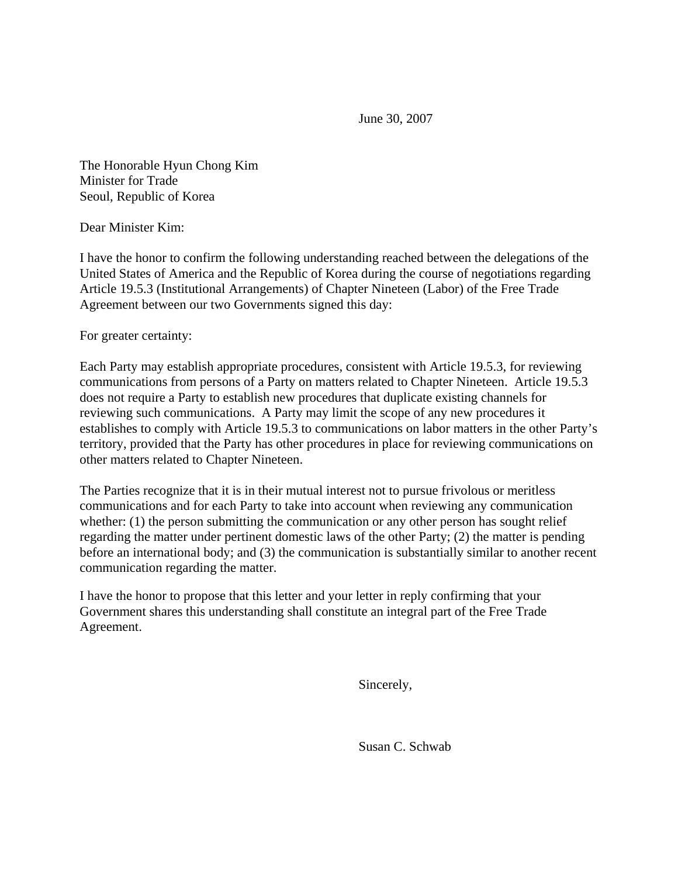June 30, 2007

The Honorable Hyun Chong Kim Minister for Trade Seoul, Republic of Korea

Dear Minister Kim:

I have the honor to confirm the following understanding reached between the delegations of the United States of America and the Republic of Korea during the course of negotiations regarding Article 19.5.3 (Institutional Arrangements) of Chapter Nineteen (Labor) of the Free Trade Agreement between our two Governments signed this day:

For greater certainty:

Each Party may establish appropriate procedures, consistent with Article 19.5.3, for reviewing communications from persons of a Party on matters related to Chapter Nineteen. Article 19.5.3 does not require a Party to establish new procedures that duplicate existing channels for reviewing such communications. A Party may limit the scope of any new procedures it establishes to comply with Article 19.5.3 to communications on labor matters in the other Party's territory, provided that the Party has other procedures in place for reviewing communications on other matters related to Chapter Nineteen.

The Parties recognize that it is in their mutual interest not to pursue frivolous or meritless communications and for each Party to take into account when reviewing any communication whether: (1) the person submitting the communication or any other person has sought relief regarding the matter under pertinent domestic laws of the other Party; (2) the matter is pending before an international body; and (3) the communication is substantially similar to another recent communication regarding the matter.

I have the honor to propose that this letter and your letter in reply confirming that your Government shares this understanding shall constitute an integral part of the Free Trade Agreement.

Sincerely,

Susan C. Schwab